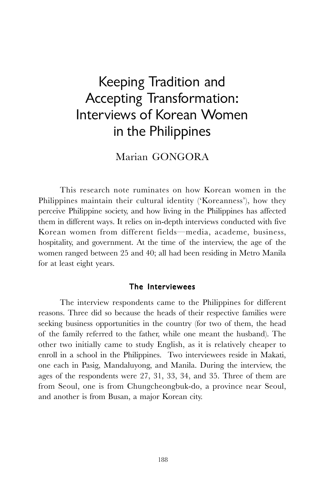# Keeping Tradition and Accepting Transformation: Interviews of Korean Women in the Philippines

# Marian GONGORA

This research note ruminates on how Korean women in the Philippines maintain their cultural identity ('Koreanness'), how they perceive Philippine society, and how living in the Philippines has affected them in different ways. It relies on in-depth interviews conducted with five Korean women from different fields—media, academe, business, hospitality, and government. At the time of the interview, the age of the women ranged between 25 and 40; all had been residing in Metro Manila for at least eight years.

#### The Interviewees

The interview respondents came to the Philippines for different reasons. Three did so because the heads of their respective families were seeking business opportunities in the country (for two of them, the head of the family referred to the father, while one meant the husband). The other two initially came to study English, as it is relatively cheaper to enroll in a school in the Philippines. Two interviewees reside in Makati, one each in Pasig, Mandaluyong, and Manila. During the interview, the ages of the respondents were 27, 31, 33, 34, and 35. Three of them are from Seoul, one is from Chungcheongbuk-do, a province near Seoul, and another is from Busan, a major Korean city.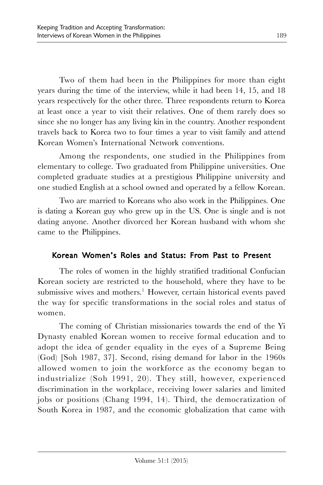Two of them had been in the Philippines for more than eight years during the time of the interview, while it had been 14, 15, and 18 years respectively for the other three. Three respondents return to Korea at least once a year to visit their relatives. One of them rarely does so since she no longer has any living kin in the country. Another respondent travels back to Korea two to four times a year to visit family and attend Korean Women's International Network conventions.

Among the respondents, one studied in the Philippines from elementary to college. Two graduated from Philippine universities. One completed graduate studies at a prestigious Philippine university and one studied English at a school owned and operated by a fellow Korean.

Two are married to Koreans who also work in the Philippines. One is dating a Korean guy who grew up in the US. One is single and is not dating anyone. Another divorced her Korean husband with whom she came to the Philippines.

# Korean Women's Roles and Status: From Past to Present

The roles of women in the highly stratified traditional Confucian Korean society are restricted to the household, where they have to be submissive wives and mothers.<sup>1</sup> However, certain historical events paved the way for specific transformations in the social roles and status of women.

The coming of Christian missionaries towards the end of the Yi Dynasty enabled Korean women to receive formal education and to adopt the idea of gender equality in the eyes of a Supreme Being (God) [Soh 1987, 37]. Second, rising demand for labor in the 1960s allowed women to join the workforce as the economy began to industrialize (Soh 1991, 20). They still, however, experienced discrimination in the workplace, receiving lower salaries and limited jobs or positions (Chang 1994, 14). Third, the democratization of South Korea in 1987, and the economic globalization that came with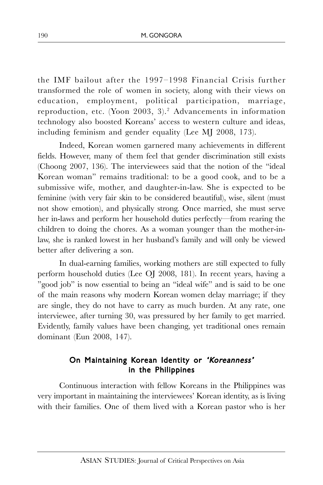the IMF bailout after the 1997–1998 Financial Crisis further transformed the role of women in society, along with their views on education, employment, political participation, marriage, reproduction, etc. (Yoon 2003, 3).<sup>2</sup> Advancements in information technology also boosted Koreans' access to western culture and ideas, including feminism and gender equality (Lee MJ 2008, 173).

Indeed, Korean women garnered many achievements in different fields. However, many of them feel that gender discrimination still exists (Choong 2007, 136). The interviewees said that the notion of the "ideal Korean woman" remains traditional: to be a good cook, and to be a submissive wife, mother, and daughter-in-law. She is expected to be feminine (with very fair skin to be considered beautiful), wise, silent (must not show emotion), and physically strong. Once married, she must serve her in-laws and perform her household duties perfectly—from rearing the children to doing the chores. As a woman younger than the mother-inlaw, she is ranked lowest in her husband's family and will only be viewed better after delivering a son.

In dual-earning families, working mothers are still expected to fully perform household duties (Lee OJ 2008, 181). In recent years, having a "good job" is now essential to being an "ideal wife" and is said to be one of the main reasons why modern Korean women delay marriage; if they are single, they do not have to carry as much burden. At any rate, one interviewee, after turning 30, was pressured by her family to get married. Evidently, family values have been changing, yet traditional ones remain dominant (Eun 2008, 147).

## On Maintaining Korean Identity or 'Koreanness' in the Philippines

Continuous interaction with fellow Koreans in the Philippines was very important in maintaining the interviewees' Korean identity, as is living with their families. One of them lived with a Korean pastor who is her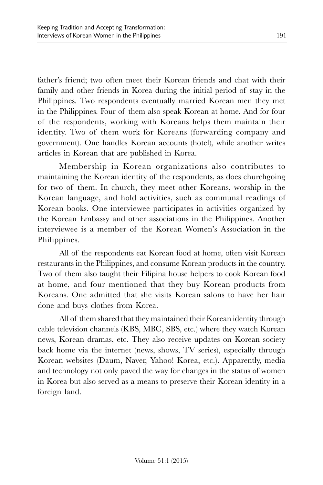father's friend; two often meet their Korean friends and chat with their family and other friends in Korea during the initial period of stay in the Philippines. Two respondents eventually married Korean men they met in the Philippines. Four of them also speak Korean at home. And for four of the respondents, working with Koreans helps them maintain their identity. Two of them work for Koreans (forwarding company and government). One handles Korean accounts (hotel), while another writes articles in Korean that are published in Korea.

Membership in Korean organizations also contributes to maintaining the Korean identity of the respondents, as does churchgoing for two of them. In church, they meet other Koreans, worship in the Korean language, and hold activities, such as communal readings of Korean books. One interviewee participates in activities organized by the Korean Embassy and other associations in the Philippines. Another interviewee is a member of the Korean Women's Association in the Philippines.

All of the respondents eat Korean food at home, often visit Korean restaurants in the Philippines, and consume Korean products in the country. Two of them also taught their Filipina house helpers to cook Korean food at home, and four mentioned that they buy Korean products from Koreans. One admitted that she visits Korean salons to have her hair done and buys clothes from Korea.

All of them shared that they maintained their Korean identity through cable television channels (KBS, MBC, SBS, etc.) where they watch Korean news, Korean dramas, etc. They also receive updates on Korean society back home via the internet (news, shows, TV series), especially through Korean websites (Daum, Naver, Yahoo! Korea, etc.). Apparently, media and technology not only paved the way for changes in the status of women in Korea but also served as a means to preserve their Korean identity in a foreign land.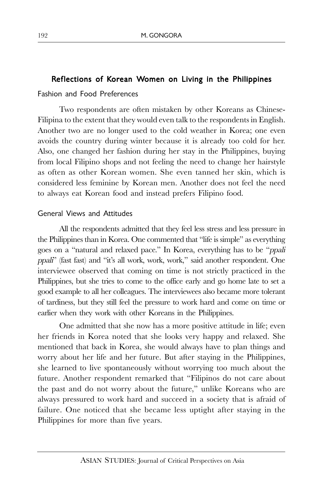### Reflections of Korean Women on Living in the Philippines

#### Fashion and Food Preferences

Two respondents are often mistaken by other Koreans as Chinese-Filipina to the extent that they would even talk to the respondents in English. Another two are no longer used to the cold weather in Korea; one even avoids the country during winter because it is already too cold for her. Also, one changed her fashion during her stay in the Philippines, buying from local Filipino shops and not feeling the need to change her hairstyle as often as other Korean women. She even tanned her skin, which is considered less feminine by Korean men. Another does not feel the need to always eat Korean food and instead prefers Filipino food.

### General Views and Attitudes

All the respondents admitted that they feel less stress and less pressure in the Philippines than in Korea. One commented that "life is simple" as everything goes on a "natural and relaxed pace." In Korea, everything has to be "ppali ppali" (fast fast) and "it's all work, work, work," said another respondent. One interviewee observed that coming on time is not strictly practiced in the Philippines, but she tries to come to the office early and go home late to set a good example to all her colleagues. The interviewees also became more tolerant of tardiness, but they still feel the pressure to work hard and come on time or earlier when they work with other Koreans in the Philippines.

One admitted that she now has a more positive attitude in life; even her friends in Korea noted that she looks very happy and relaxed. She mentioned that back in Korea, she would always have to plan things and worry about her life and her future. But after staying in the Philippines, she learned to live spontaneously without worrying too much about the future. Another respondent remarked that "Filipinos do not care about the past and do not worry about the future," unlike Koreans who are always pressured to work hard and succeed in a society that is afraid of failure. One noticed that she became less uptight after staying in the Philippines for more than five years.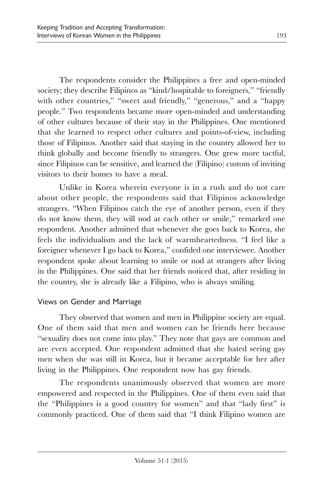The respondents consider the Philippines a free and open-minded society; they describe Filipinos as "kind/hospitable to foreigners," "friendly with other countries," "sweet and friendly," "generous," and a "happy people." Two respondents became more open-minded and understanding of other cultures because of their stay in the Philippines. One mentioned that she learned to respect other cultures and points-of-view, including those of Filipinos. Another said that staying in the country allowed her to think globally and become friendly to strangers. One grew more tactful, since Filipinos can be sensitive, and learned the (Filipino) custom of inviting visitors to their homes to have a meal.

Unlike in Korea wherein everyone is in a rush and do not care about other people, the respondents said that Filipinos acknowledge strangers. "When Filipinos catch the eye of another person, even if they do not know them, they will nod at each other or smile," remarked one respondent. Another admitted that whenever she goes back to Korea, she feels the individualism and the lack of warmheartedness. "I feel like a foreigner whenever I go back to Korea," confided one interviewee. Another respondent spoke about learning to smile or nod at strangers after living in the Philippines. One said that her friends noticed that, after residing in the country, she is already like a Filipino, who is always smiling.

## Views on Gender and Marriage

They observed that women and men in Philippine society are equal. One of them said that men and women can be friends here because "sexuality does not come into play." They note that gays are common and are even accepted. One respondent admitted that she hated seeing gay men when she was still in Korea, but it became acceptable for her after living in the Philippines. One respondent now has gay friends.

The respondents unanimously observed that women are more empowered and respected in the Philippines. One of them even said that the "Philippines is a good country for women" and that "lady first" is commonly practiced. One of them said that "I think Filipino women are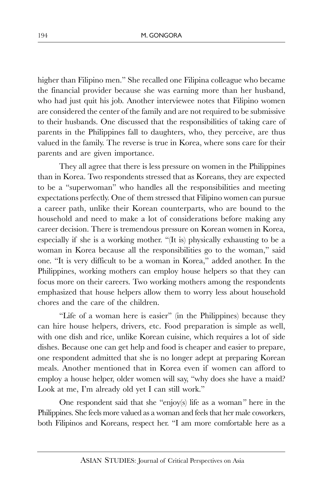higher than Filipino men." She recalled one Filipina colleague who became the financial provider because she was earning more than her husband, who had just quit his job. Another interviewee notes that Filipino women are considered the center of the family and are not required to be submissive to their husbands. One discussed that the responsibilities of taking care of parents in the Philippines fall to daughters, who, they perceive, are thus valued in the family. The reverse is true in Korea, where sons care for their parents and are given importance.

They all agree that there is less pressure on women in the Philippines than in Korea. Two respondents stressed that as Koreans, they are expected to be a "superwoman" who handles all the responsibilities and meeting expectations perfectly. One of them stressed that Filipino women can pursue a career path, unlike their Korean counterparts, who are bound to the household and need to make a lot of considerations before making any career decision. There is tremendous pressure on Korean women in Korea, especially if she is a working mother. "(It is) physically exhausting to be a woman in Korea because all the responsibilities go to the woman," said one. "It is very difficult to be a woman in Korea," added another. In the Philippines, working mothers can employ house helpers so that they can focus more on their careers. Two working mothers among the respondents emphasized that house helpers allow them to worry less about household chores and the care of the children.

"Life of a woman here is easier" (in the Philippines) because they can hire house helpers, drivers, etc. Food preparation is simple as well, with one dish and rice, unlike Korean cuisine, which requires a lot of side dishes. Because one can get help and food is cheaper and easier to prepare, one respondent admitted that she is no longer adept at preparing Korean meals. Another mentioned that in Korea even if women can afford to employ a house helper, older women will say, "why does she have a maid? Look at me, I'm already old yet I can still work."

One respondent said that she "enjoy(s) life as a woman" here in the Philippines. She feels more valued as a woman and feels that her male coworkers, both Filipinos and Koreans, respect her. "I am more comfortable here as a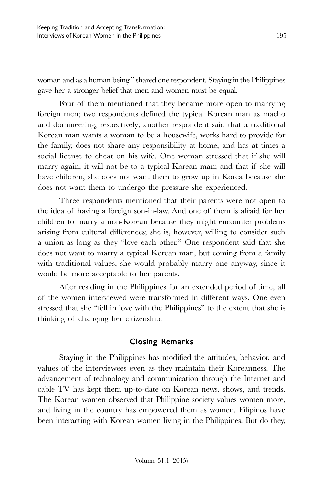woman and as a human being," shared one respondent. Staying in the Philippines gave her a stronger belief that men and women must be equal.

Four of them mentioned that they became more open to marrying foreign men; two respondents defined the typical Korean man as macho and domineering, respectively; another respondent said that a traditional Korean man wants a woman to be a housewife, works hard to provide for the family, does not share any responsibility at home, and has at times a social license to cheat on his wife. One woman stressed that if she will marry again, it will not be to a typical Korean man; and that if she will have children, she does not want them to grow up in Korea because she does not want them to undergo the pressure she experienced.

Three respondents mentioned that their parents were not open to the idea of having a foreign son-in-law. And one of them is afraid for her children to marry a non-Korean because they might encounter problems arising from cultural differences; she is, however, willing to consider such a union as long as they "love each other." One respondent said that she does not want to marry a typical Korean man, but coming from a family with traditional values, she would probably marry one anyway, since it would be more acceptable to her parents.

After residing in the Philippines for an extended period of time, all of the women interviewed were transformed in different ways. One even stressed that she "fell in love with the Philippines" to the extent that she is thinking of changing her citizenship.

## Closing Remarks

Staying in the Philippines has modified the attitudes, behavior, and values of the interviewees even as they maintain their Koreanness. The advancement of technology and communication through the Internet and cable TV has kept them up-to-date on Korean news, shows, and trends. The Korean women observed that Philippine society values women more, and living in the country has empowered them as women. Filipinos have been interacting with Korean women living in the Philippines. But do they,